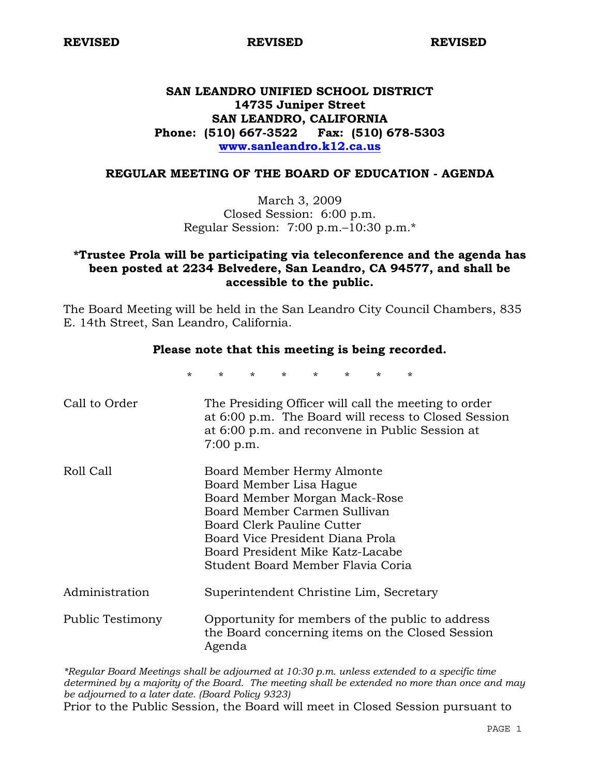# **SAN LEANDRO UNIFIED SCHOOL DISTRICT 14735 Juniper Street SAN LEANDRO, CALIFORNIA Phone: (510) 667-3522 Fax: (510) 678-5303 www.sanleandro.k12.ca.us**

#### **REGULAR MEETING OF THE BOARD OF EDUCATION - AGENDA**

March 3, 2009 Closed Session: 6:00 p.m. Regular Session: 7:00 p.m.–10:30 p.m.\*

# **\*Trustee Prola will be participating via teleconference and the agenda has been posted at 2234 Belvedere, San Leandro, CA 94577, and shall be accessible to the public.**

The Board Meeting will be held in the San Leandro City Council Chambers, 835 E. 14th Street, San Leandro, California.

## **Please note that this meeting is being recorded.**

|                  | $\star$ | $\star$     | $\star$ | $\star$ | $\star$                                                                                                                                                                                                                                                                  | ÷ | ÷ |                                                                                                         |                                                      |
|------------------|---------|-------------|---------|---------|--------------------------------------------------------------------------------------------------------------------------------------------------------------------------------------------------------------------------------------------------------------------------|---|---|---------------------------------------------------------------------------------------------------------|------------------------------------------------------|
| Call to Order    |         | $7:00$ p.m. |         |         |                                                                                                                                                                                                                                                                          |   |   | The Presiding Officer will call the meeting to order<br>at 6:00 p.m. and reconvene in Public Session at | at 6:00 p.m. The Board will recess to Closed Session |
| Roll Call        |         |             |         |         | Board Member Hermy Almonte<br>Board Member Lisa Hague<br>Board Member Morgan Mack-Rose<br>Board Member Carmen Sullivan<br><b>Board Clerk Pauline Cutter</b><br>Board Vice President Diana Prola<br>Board President Mike Katz-Lacabe<br>Student Board Member Flavia Coria |   |   |                                                                                                         |                                                      |
| Administration   |         |             |         |         | Superintendent Christine Lim, Secretary                                                                                                                                                                                                                                  |   |   |                                                                                                         |                                                      |
| Public Testimony |         | Agenda      |         |         |                                                                                                                                                                                                                                                                          |   |   | Opportunity for members of the public to address<br>the Board concerning items on the Closed Session    |                                                      |

*\*Regular Board Meetings shall be adjourned at 10:30 p.m. unless extended to a specific time determined by a majority of the Board. The meeting shall be extended no more than once and may be adjourned to a later date. (Board Policy 9323)* 

Prior to the Public Session, the Board will meet in Closed Session pursuant to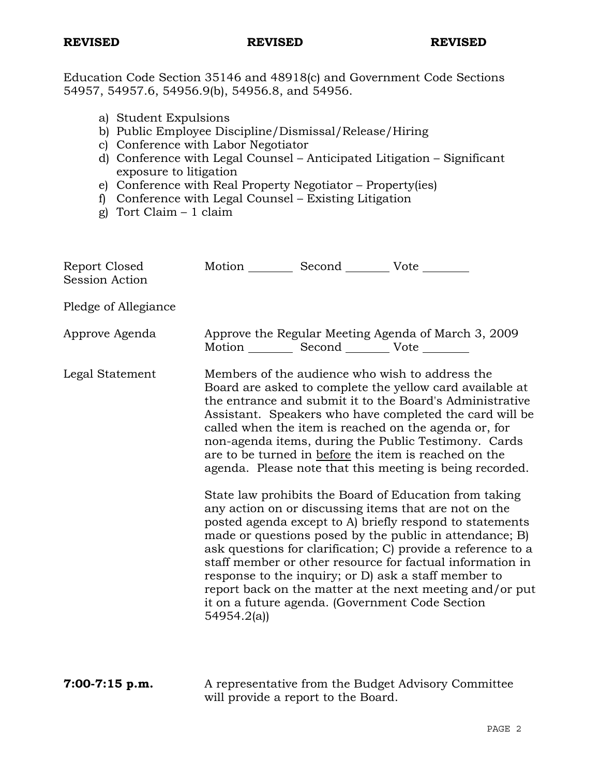Education Code Section 35146 and 48918(c) and Government Code Sections 54957, 54957.6, 54956.9(b), 54956.8, and 54956.

- a) Student Expulsions
- b) Public Employee Discipline/Dismissal/Release/Hiring
- c) Conference with Labor Negotiator
- d) Conference with Legal Counsel Anticipated Litigation Significant exposure to litigation
- e) Conference with Real Property Negotiator Property(ies)
- f) Conference with Legal Counsel Existing Litigation
- g) Tort Claim 1 claim

| Report Closed<br><b>Session Action</b> | Motion Second Vote ________                       |                                                                                                                                                                                                                                                                                                                                                                                                                                                                                                                                            |
|----------------------------------------|---------------------------------------------------|--------------------------------------------------------------------------------------------------------------------------------------------------------------------------------------------------------------------------------------------------------------------------------------------------------------------------------------------------------------------------------------------------------------------------------------------------------------------------------------------------------------------------------------------|
| Pledge of Allegiance                   |                                                   |                                                                                                                                                                                                                                                                                                                                                                                                                                                                                                                                            |
| Approve Agenda                         | Motion __________ Second __________ Vote ________ | Approve the Regular Meeting Agenda of March 3, 2009                                                                                                                                                                                                                                                                                                                                                                                                                                                                                        |
| Legal Statement                        |                                                   | Members of the audience who wish to address the<br>Board are asked to complete the yellow card available at<br>the entrance and submit it to the Board's Administrative<br>Assistant. Speakers who have completed the card will be<br>called when the item is reached on the agenda or, for<br>non-agenda items, during the Public Testimony. Cards<br>are to be turned in before the item is reached on the<br>agenda. Please note that this meeting is being recorded.                                                                   |
|                                        | 54954.2(a)                                        | State law prohibits the Board of Education from taking<br>any action on or discussing items that are not on the<br>posted agenda except to A) briefly respond to statements<br>made or questions posed by the public in attendance; B)<br>ask questions for clarification; C) provide a reference to a<br>staff member or other resource for factual information in<br>response to the inquiry; or D) ask a staff member to<br>report back on the matter at the next meeting and/or put<br>it on a future agenda. (Government Code Section |
| $7:00-7:15$ p.m.                       | will provide a report to the Board.               | A representative from the Budget Advisory Committee                                                                                                                                                                                                                                                                                                                                                                                                                                                                                        |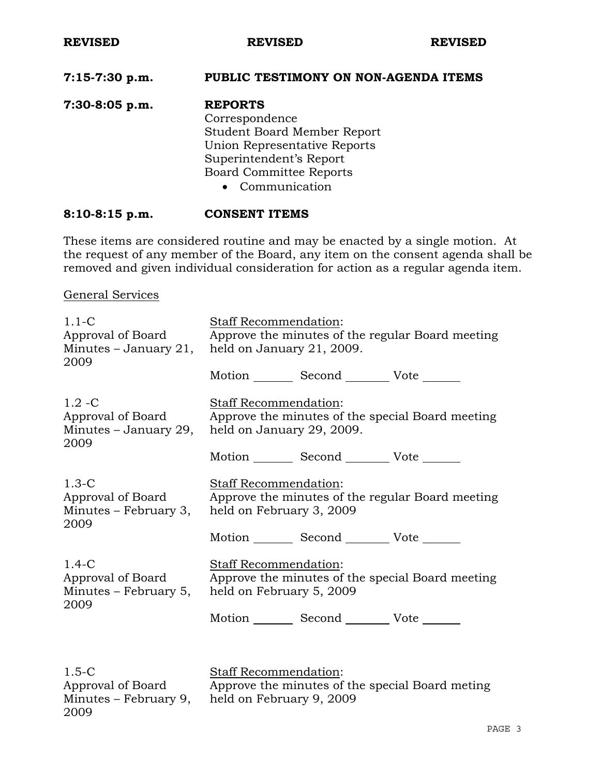### **7:15-7:30 p.m. PUBLIC TESTIMONY ON NON-AGENDA ITEMS**

**7:30-8:05 p.m. REPORTS** Correspondence Student Board Member Report Union Representative Reports Superintendent's Report Board Committee Reports • Communication

#### **8:10-8:15 p.m. CONSENT ITEMS**

These items are considered routine and may be enacted by a single motion. At the request of any member of the Board, any item on the consent agenda shall be removed and given individual consideration for action as a regular agenda item.

General Services

2009

| $1.1 - C$<br>Approval of Board<br>Minutes $-$ January 21,<br>2009 | Staff Recommendation:<br>Approve the minutes of the regular Board meeting<br>held on January 21, 2009.        |                                                 |                                                  |  |
|-------------------------------------------------------------------|---------------------------------------------------------------------------------------------------------------|-------------------------------------------------|--------------------------------------------------|--|
|                                                                   |                                                                                                               | Motion _________ Second __________ Vote _______ |                                                  |  |
| $1.2 - C$<br>Approval of Board<br>Minutes - January 29,<br>2009   | <b>Staff Recommendation:</b><br>Approve the minutes of the special Board meeting<br>held on January 29, 2009. |                                                 |                                                  |  |
|                                                                   |                                                                                                               | Motion Second Vote ______                       |                                                  |  |
| $1.3-C$<br>Approval of Board<br>Minutes - February 3,<br>2009     | Staff Recommendation:<br>held on February 3, 2009                                                             |                                                 | Approve the minutes of the regular Board meeting |  |
|                                                                   |                                                                                                               | Motion _________ Second __________ Vote _______ |                                                  |  |
| $1.4-C$<br>Approval of Board<br>Minutes – February 5,<br>2009     | <b>Staff Recommendation:</b><br>held on February 5, 2009                                                      |                                                 | Approve the minutes of the special Board meeting |  |
|                                                                   |                                                                                                               | Motion _________ Second __________ Vote _______ |                                                  |  |
|                                                                   |                                                                                                               |                                                 |                                                  |  |
| $1.5-C$<br>Approval of Board<br>Minutes – February 9,             | <b>Staff Recommendation:</b><br>held on February 9, 2009                                                      |                                                 | Approve the minutes of the special Board meting  |  |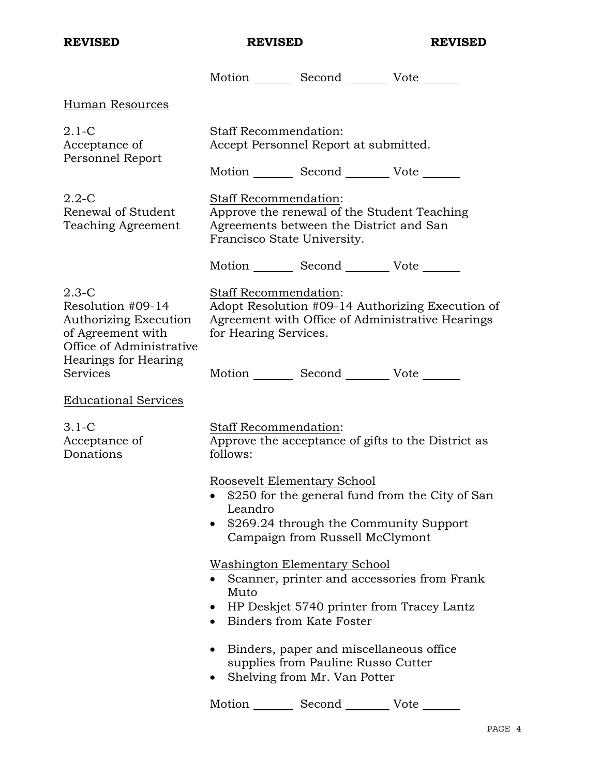|                                                                                                        | Motion _________ Second __________ Vote _______                                                                                                                        |  |  |  |
|--------------------------------------------------------------------------------------------------------|------------------------------------------------------------------------------------------------------------------------------------------------------------------------|--|--|--|
| Human Resources                                                                                        |                                                                                                                                                                        |  |  |  |
| $2.1-C$<br>Acceptance of                                                                               | <b>Staff Recommendation:</b><br>Accept Personnel Report at submitted.                                                                                                  |  |  |  |
| Personnel Report                                                                                       | Motion _________ Second __________ Vote _______                                                                                                                        |  |  |  |
| $2.2 - C$<br>Renewal of Student<br>Teaching Agreement                                                  | Staff Recommendation:<br>Approve the renewal of the Student Teaching<br>Agreements between the District and San<br>Francisco State University.                         |  |  |  |
|                                                                                                        | Motion _________ Second __________ Vote _______                                                                                                                        |  |  |  |
| $2.3-C$<br>Resolution #09-14<br>Authorizing Execution<br>of Agreement with<br>Office of Administrative | <b>Staff Recommendation:</b><br>Adopt Resolution #09-14 Authorizing Execution of<br>Agreement with Office of Administrative Hearings<br>for Hearing Services.          |  |  |  |
| Hearings for Hearing<br>Services                                                                       | Motion _________ Second __________ Vote _______                                                                                                                        |  |  |  |
| <b>Educational Services</b>                                                                            |                                                                                                                                                                        |  |  |  |
| $3.1-C$<br>Acceptance of<br>Donations                                                                  | Staff Recommendation:<br>Approve the acceptance of gifts to the District as<br>follows:                                                                                |  |  |  |
|                                                                                                        | Roosevelt Elementary School<br>\$250 for the general fund from the City of San<br>Leandro<br>\$269.24 through the Community Support<br>Campaign from Russell McClymont |  |  |  |
|                                                                                                        | <b>Washington Elementary School</b><br>Scanner, printer and accessories from Frank<br>Muto<br>HP Deskjet 5740 printer from Tracey Lantz<br>Binders from Kate Foster    |  |  |  |
|                                                                                                        | Binders, paper and miscellaneous office.<br>supplies from Pauline Russo Cutter<br>Shelving from Mr. Van Potter                                                         |  |  |  |
|                                                                                                        | Motion Second<br>Vote                                                                                                                                                  |  |  |  |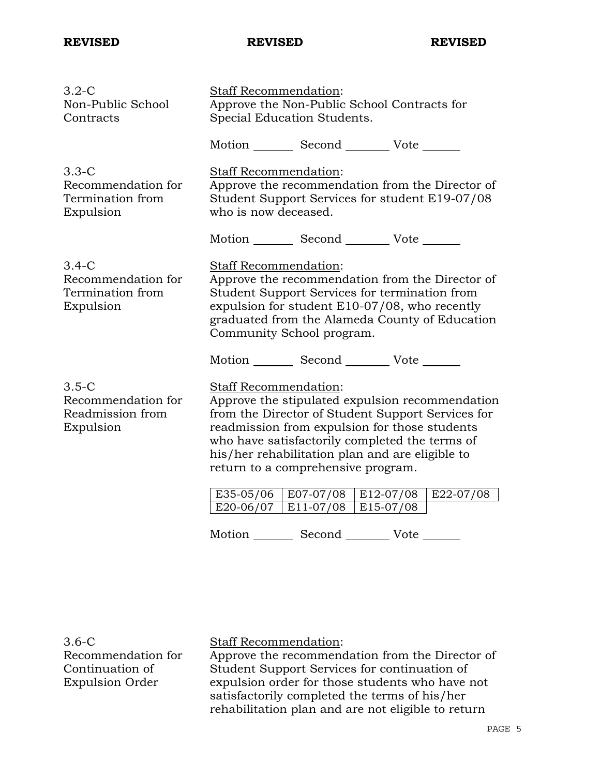| $3.2-C$<br>Non-Public School<br>Contracts                      | Staff Recommendation:<br>Approve the Non-Public School Contracts for<br>Special Education Students.                                                                                                                                                                                                                                                                                 |                                   |               |             |
|----------------------------------------------------------------|-------------------------------------------------------------------------------------------------------------------------------------------------------------------------------------------------------------------------------------------------------------------------------------------------------------------------------------------------------------------------------------|-----------------------------------|---------------|-------------|
|                                                                | Motion Second Vote                                                                                                                                                                                                                                                                                                                                                                  |                                   |               |             |
| $3.3-C$<br>Recommendation for<br>Termination from<br>Expulsion | Staff Recommendation:<br>Approve the recommendation from the Director of<br>Student Support Services for student E19-07/08<br>who is now deceased.                                                                                                                                                                                                                                  |                                   |               |             |
|                                                                | Motion Second Vote                                                                                                                                                                                                                                                                                                                                                                  |                                   |               |             |
| $3.4-C$<br>Recommendation for<br>Termination from<br>Expulsion | Staff Recommendation:<br>Approve the recommendation from the Director of<br>Student Support Services for termination from<br>expulsion for student E10-07/08, who recently<br>graduated from the Alameda County of Education<br>Community School program.                                                                                                                           |                                   |               |             |
| $3.5-C$<br>Recommendation for<br>Readmission from<br>Expulsion | Motion _________ Second __________ Vote _______<br><b>Staff Recommendation:</b><br>Approve the stipulated expulsion recommendation<br>from the Director of Student Support Services for<br>readmission from expulsion for those students<br>who have satisfactorily completed the terms of<br>his/her rehabilitation plan and are eligible to<br>return to a comprehensive program. |                                   |               |             |
|                                                                | $E20-06/07$   E11-07/08                                                                                                                                                                                                                                                                                                                                                             | E35-05/06   E07-07/08   E12-07/08 | $ E15-07/08 $ | $E22-07/08$ |
|                                                                | Motion _________ Second __________ Vote _______                                                                                                                                                                                                                                                                                                                                     |                                   |               |             |

3.6-C Recommendation for Continuation of Expulsion Order

Staff Recommendation:

Approve the recommendation from the Director of Student Support Services for continuation of expulsion order for those students who have not satisfactorily completed the terms of his/her rehabilitation plan and are not eligible to return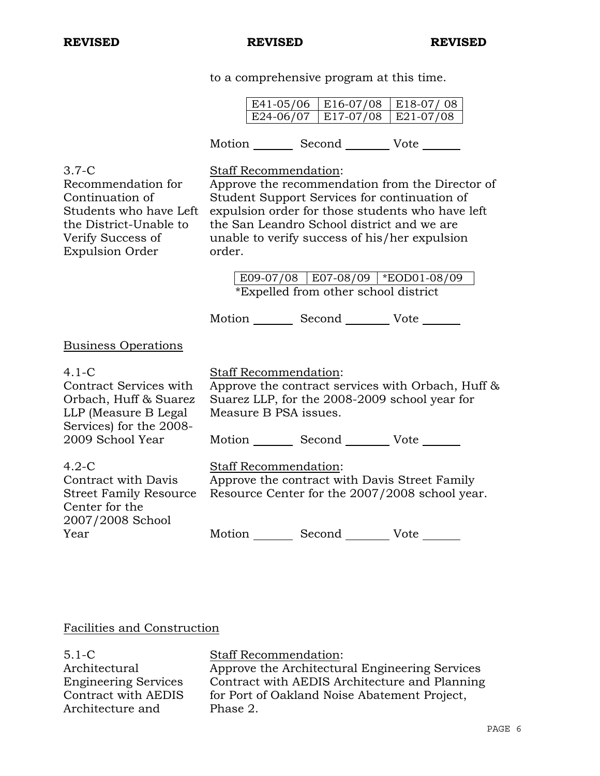to a comprehensive program at this time.

E41-05/06 | E16-07/08 | E18-07/08 E24-06/07 | E17-07/08 | E21-07/08 Motion Second Vote 3.7-C Recommendation for Continuation of Students who have Left the District-Unable to Verify Success of Expulsion Order Staff Recommendation: Approve the recommendation from the Director of Student Support Services for continuation of expulsion order for those students who have left the San Leandro School district and we are unable to verify success of his/her expulsion order. E09-07/08 E07-08/09 \*EOD01-08/09 \*Expelled from other school district Motion Second Vote Business Operations 4.1-C Contract Services with Orbach, Huff & Suarez LLP (Measure B Legal Services) for the 2008- 2009 School Year Staff Recommendation: Approve the contract services with Orbach, Huff & Suarez LLP, for the 2008-2009 school year for Measure B PSA issues. Motion Second Vote \_\_\_\_\_\_\_ 4.2-C Contract with Davis Street Family Resource Center for the 2007/2008 School Year Staff Recommendation: Approve the contract with Davis Street Family Resource Center for the 2007/2008 school year. Motion Second Vote

### Facilities and Construction

5.1-C Architectural Engineering Services Contract with AEDIS Architecture and

Staff Recommendation:

Approve the Architectural Engineering Services Contract with AEDIS Architecture and Planning for Port of Oakland Noise Abatement Project, Phase 2.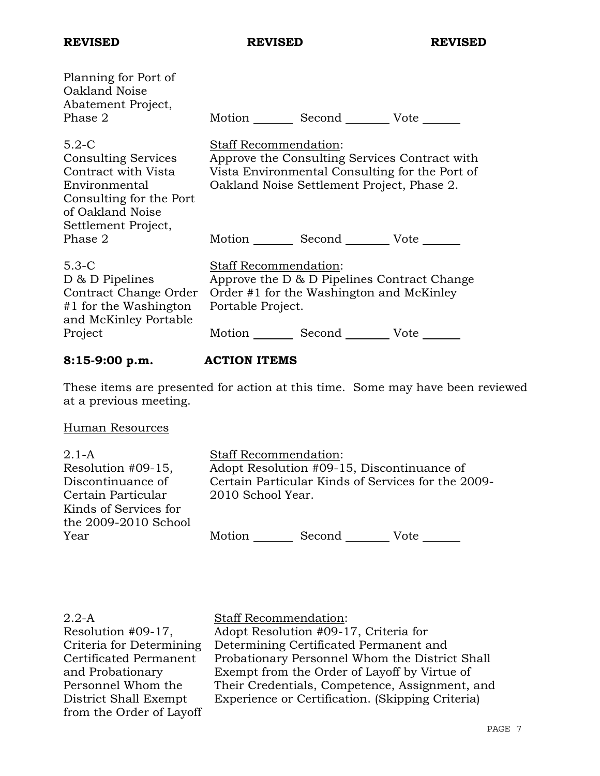| Planning for Port of<br>Oakland Noise<br>Abatement Project,<br>Phase 2                                                       | Motion Second Vote                                                                                                                                                                          |
|------------------------------------------------------------------------------------------------------------------------------|---------------------------------------------------------------------------------------------------------------------------------------------------------------------------------------------|
| $5.2-C$<br><b>Consulting Services</b><br>Contract with Vista<br>Environmental<br>Consulting for the Port<br>of Oakland Noise | Staff Recommendation:<br>Approve the Consulting Services Contract with<br>Vista Environmental Consulting for the Port of<br>Oakland Noise Settlement Project, Phase 2.                      |
| Settlement Project,<br>Phase 2                                                                                               | Motion Second Vote                                                                                                                                                                          |
| $5.3-C$<br>D & D Pipelines<br>Contract Change Order<br>$#1$ for the Washington<br>and McKinley Portable<br>Project           | Staff Recommendation:<br>Approve the D & D Pipelines Contract Change<br>Order #1 for the Washington and McKinley<br>Portable Project.<br>Motion ________<br>Second __________ Vote ________ |
|                                                                                                                              |                                                                                                                                                                                             |

# **8:15-9:00 p.m. ACTION ITEMS**

These items are presented for action at this time. Some may have been reviewed at a previous meeting.

# Human Resources

| $2.1 - A$             | <b>Staff Recommendation:</b>               |        |                                                    |
|-----------------------|--------------------------------------------|--------|----------------------------------------------------|
| Resolution #09-15,    | Adopt Resolution #09-15, Discontinuance of |        |                                                    |
| Discontinuance of     |                                            |        | Certain Particular Kinds of Services for the 2009- |
| Certain Particular    | 2010 School Year.                          |        |                                                    |
| Kinds of Services for |                                            |        |                                                    |
| the 2009-2010 School  |                                            |        |                                                    |
| Year                  | Motion                                     | Second | Vote                                               |

| $2.2-A$                  | <b>Staff Recommendation:</b>                     |
|--------------------------|--------------------------------------------------|
| Resolution #09-17,       | Adopt Resolution #09-17, Criteria for            |
| Criteria for Determining | Determining Certificated Permanent and           |
| Certificated Permanent   | Probationary Personnel Whom the District Shall   |
| and Probationary         | Exempt from the Order of Layoff by Virtue of     |
| Personnel Whom the       | Their Credentials, Competence, Assignment, and   |
| District Shall Exempt    | Experience or Certification. (Skipping Criteria) |
| from the Order of Layoff |                                                  |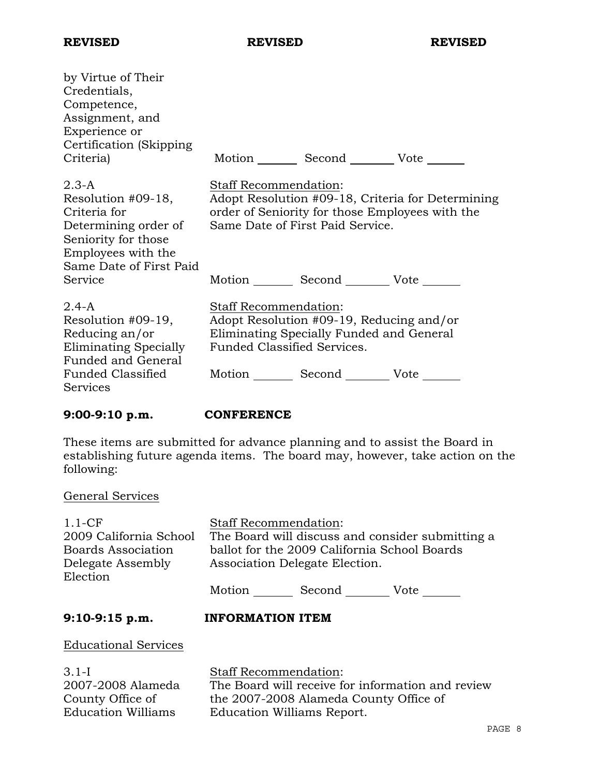| by Virtue of Their<br>Credentials,<br>Competence,<br>Assignment, and<br>Experience or<br>Certification (Skipping)<br>Criteria)                |                                                             | Motion _________ Second __________ Vote _______                                      |                                                                                                      |
|-----------------------------------------------------------------------------------------------------------------------------------------------|-------------------------------------------------------------|--------------------------------------------------------------------------------------|------------------------------------------------------------------------------------------------------|
| $2.3-A$<br>Resolution #09-18,<br>Criteria for<br>Determining order of<br>Seniority for those<br>Employees with the<br>Same Date of First Paid | <b>Staff Recommendation:</b>                                | Same Date of First Paid Service.                                                     | Adopt Resolution #09-18, Criteria for Determining<br>order of Seniority for those Employees with the |
| Service                                                                                                                                       |                                                             | Motion Second Vote                                                                   |                                                                                                      |
| $2.4-A$<br>Resolution #09-19,<br>Reducing an/or<br>Eliminating Specially<br><b>Funded and General</b>                                         | Staff Recommendation:<br><b>Funded Classified Services.</b> | Adopt Resolution #09-19, Reducing and/or<br>Eliminating Specially Funded and General |                                                                                                      |
| Funded Classified<br>Services                                                                                                                 |                                                             | Motion Second Vote                                                                   |                                                                                                      |

**9:00-9:10 p.m. CONFERENCE** 

These items are submitted for advance planning and to assist the Board in establishing future agenda items. The board may, however, take action on the following:

### General Services

| $1.1-CF$<br>2009 California School<br>Boards Association<br>Delegate Assembly<br>Election | <b>Staff Recommendation:</b><br>The Board will discuss and consider submitting a<br>ballot for the 2009 California School Boards<br>Association Delegate Election.<br>Motion Second Vote |  |  |
|-------------------------------------------------------------------------------------------|------------------------------------------------------------------------------------------------------------------------------------------------------------------------------------------|--|--|
| $9:10-9:15$ p.m.                                                                          | <b>INFORMATION ITEM</b>                                                                                                                                                                  |  |  |
| <b>Educational Services</b>                                                               |                                                                                                                                                                                          |  |  |
| $3.1-I$                                                                                   | <b>Staff Recommendation:</b>                                                                                                                                                             |  |  |

3.1-I 2007-2008 Alameda County Office of Education Williams

Staff Recommendation: The Board will receive for information and review the 2007-2008 Alameda County Office of Education Williams Report.